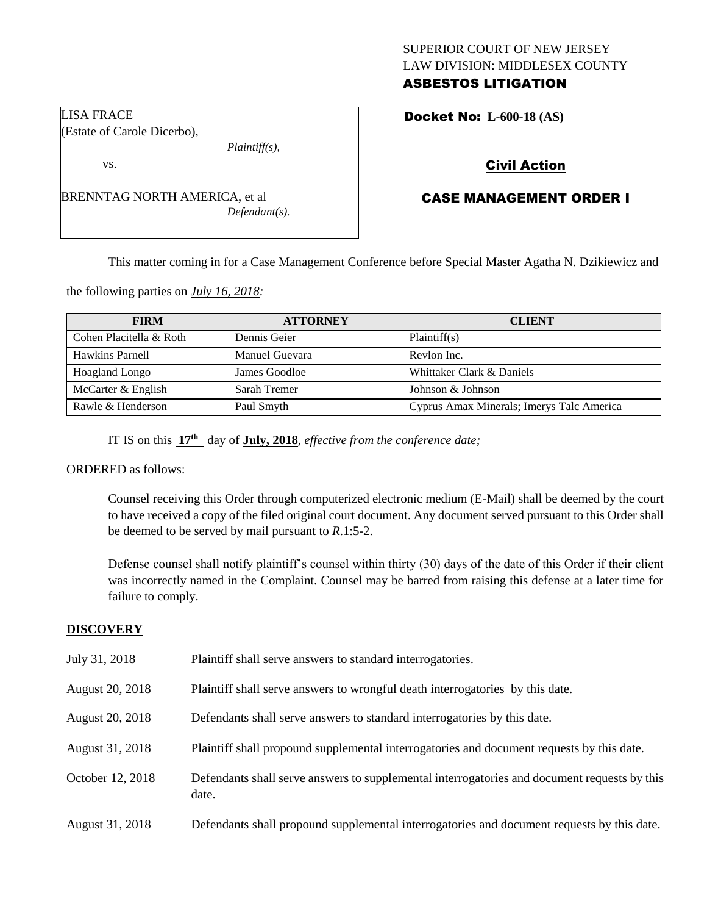## SUPERIOR COURT OF NEW JERSEY LAW DIVISION: MIDDLESEX COUNTY ASBESTOS LITIGATION

Docket No: **L-600-18 (AS)** 

# Civil Action

# CASE MANAGEMENT ORDER I

This matter coming in for a Case Management Conference before Special Master Agatha N. Dzikiewicz and

the following parties on *July 16, 2018:*

| <b>FIRM</b>             | <b>ATTORNEY</b> | <b>CLIENT</b>                             |
|-------------------------|-----------------|-------------------------------------------|
| Cohen Placitella & Roth | Dennis Geier    | Plaintiff(s)                              |
| Hawkins Parnell         | Manuel Guevara  | Revlon Inc.                               |
| Hoagland Longo          | James Goodloe   | Whittaker Clark & Daniels                 |
| McCarter & English      | Sarah Tremer    | Johnson & Johnson                         |
| Rawle & Henderson       | Paul Smyth      | Cyprus Amax Minerals; Imerys Talc America |

IT IS on this **17th** day of **July, 2018**, *effective from the conference date;*

ORDERED as follows:

Counsel receiving this Order through computerized electronic medium (E-Mail) shall be deemed by the court to have received a copy of the filed original court document. Any document served pursuant to this Order shall be deemed to be served by mail pursuant to *R*.1:5-2.

Defense counsel shall notify plaintiff's counsel within thirty (30) days of the date of this Order if their client was incorrectly named in the Complaint. Counsel may be barred from raising this defense at a later time for failure to comply.

## **DISCOVERY**

| July 31, 2018    | Plaintiff shall serve answers to standard interrogatories.                                            |
|------------------|-------------------------------------------------------------------------------------------------------|
| August 20, 2018  | Plaintiff shall serve answers to wrongful death interrogatories by this date.                         |
| August 20, 2018  | Defendants shall serve answers to standard interrogatories by this date.                              |
| August 31, 2018  | Plaintiff shall propound supplemental interrogatories and document requests by this date.             |
| October 12, 2018 | Defendants shall serve answers to supplemental interrogatories and document requests by this<br>date. |
| August 31, 2018  | Defendants shall propound supplemental interrogatories and document requests by this date.            |

LISA FRACE (Estate of Carole Dicerbo),

vs.

BRENNTAG NORTH AMERICA, et al *Defendant(s).*

*Plaintiff(s),*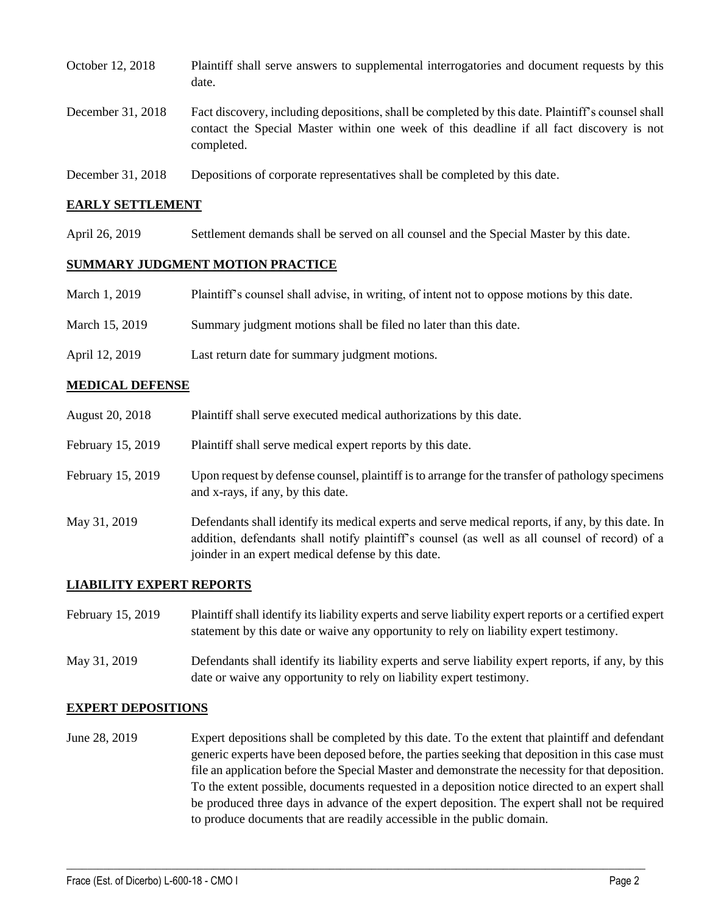| October 12, 2018  | Plaintiff shall serve answers to supplemental interrogatories and document requests by this<br>date.                                                                                                        |
|-------------------|-------------------------------------------------------------------------------------------------------------------------------------------------------------------------------------------------------------|
| December 31, 2018 | Fact discovery, including depositions, shall be completed by this date. Plaintiff's counsel shall<br>contact the Special Master within one week of this deadline if all fact discovery is not<br>completed. |
| December 31, 2018 | Depositions of corporate representatives shall be completed by this date.                                                                                                                                   |

### **EARLY SETTLEMENT**

April 26, 2019 Settlement demands shall be served on all counsel and the Special Master by this date.

#### **SUMMARY JUDGMENT MOTION PRACTICE**

| March 1, 2019 | Plaintiff's counsel shall advise, in writing, of intent not to oppose motions by this date. |  |  |
|---------------|---------------------------------------------------------------------------------------------|--|--|
|               |                                                                                             |  |  |

- March 15, 2019 Summary judgment motions shall be filed no later than this date.
- April 12, 2019 Last return date for summary judgment motions.

#### **MEDICAL DEFENSE**

| August 20, 2018   | Plaintiff shall serve executed medical authorizations by this date.                                                                                                                                |
|-------------------|----------------------------------------------------------------------------------------------------------------------------------------------------------------------------------------------------|
| February 15, 2019 | Plaintiff shall serve medical expert reports by this date.                                                                                                                                         |
| February 15, 2019 | Upon request by defense counsel, plaintiff is to arrange for the transfer of pathology specimens<br>and x-rays, if any, by this date.                                                              |
| May 31, 2019      | Defendants shall identify its medical experts and serve medical reports, if any, by this date. In<br>addition, defendants shall notify plaintiff's counsel (as well as all counsel of record) of a |

joinder in an expert medical defense by this date.

### **LIABILITY EXPERT REPORTS**

| February 15, 2019 | Plaintiff shall identify its liability experts and serve liability expert reports or a certified expert<br>statement by this date or waive any opportunity to rely on liability expert testimony. |
|-------------------|---------------------------------------------------------------------------------------------------------------------------------------------------------------------------------------------------|
| May 31, 2019      | Defendants shall identify its liability experts and serve liability expert reports, if any, by this<br>date or waive any opportunity to rely on liability expert testimony.                       |

### **EXPERT DEPOSITIONS**

June 28, 2019 Expert depositions shall be completed by this date. To the extent that plaintiff and defendant generic experts have been deposed before, the parties seeking that deposition in this case must file an application before the Special Master and demonstrate the necessity for that deposition. To the extent possible, documents requested in a deposition notice directed to an expert shall be produced three days in advance of the expert deposition. The expert shall not be required to produce documents that are readily accessible in the public domain.

 $\_$  ,  $\_$  ,  $\_$  ,  $\_$  ,  $\_$  ,  $\_$  ,  $\_$  ,  $\_$  ,  $\_$  ,  $\_$  ,  $\_$  ,  $\_$  ,  $\_$  ,  $\_$  ,  $\_$  ,  $\_$  ,  $\_$  ,  $\_$  ,  $\_$  ,  $\_$  ,  $\_$  ,  $\_$  ,  $\_$  ,  $\_$  ,  $\_$  ,  $\_$  ,  $\_$  ,  $\_$  ,  $\_$  ,  $\_$  ,  $\_$  ,  $\_$  ,  $\_$  ,  $\_$  ,  $\_$  ,  $\_$  ,  $\_$  ,